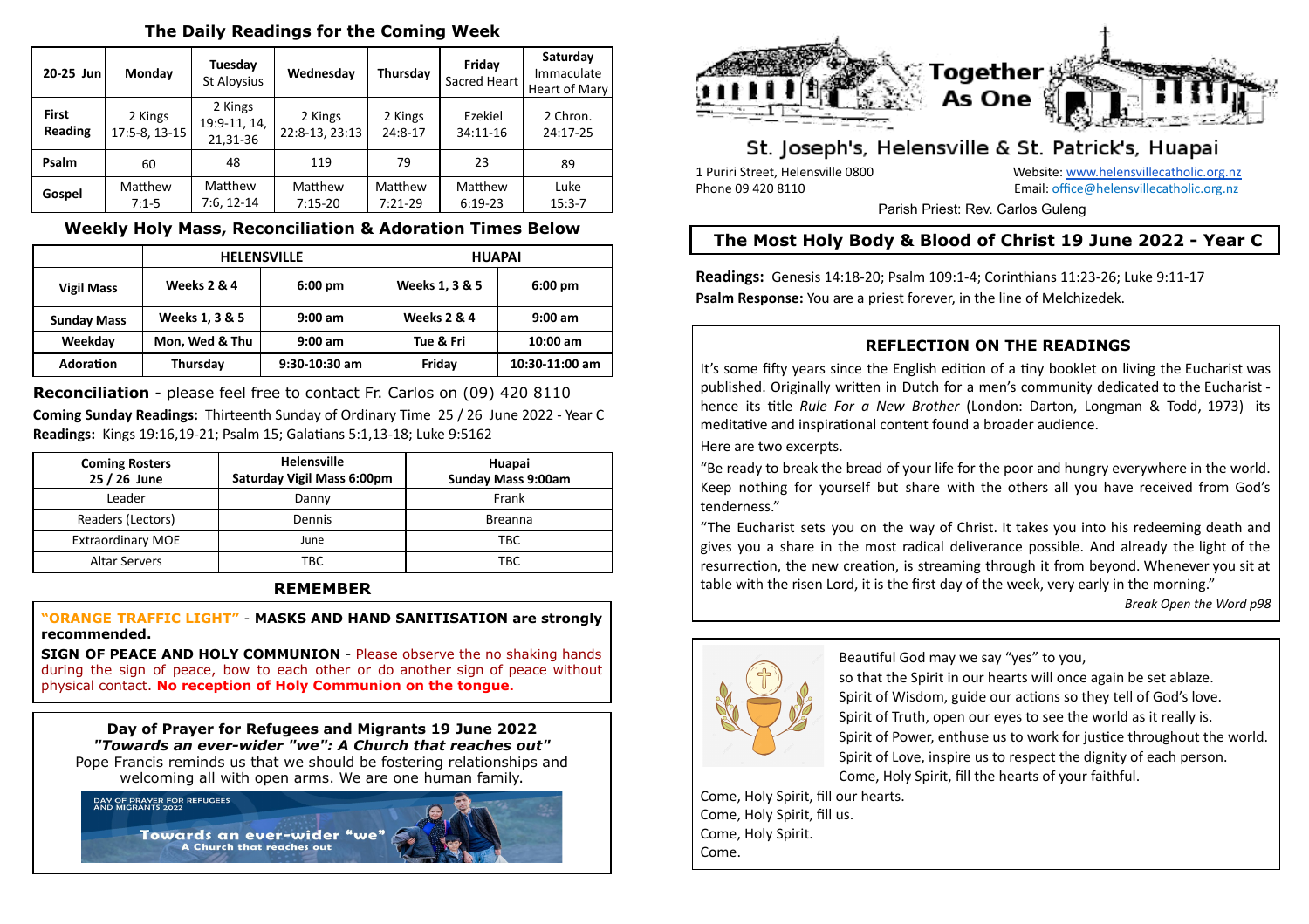### **The Daily Readings for the Coming Week**

| 20-25 Jun               | Monday                   | Tuesday<br><b>St Aloysius</b>       | Wednesday                 | Thursday             | Friday<br>Sacred Heart | Saturday<br>Immaculate<br>Heart of Mary |
|-------------------------|--------------------------|-------------------------------------|---------------------------|----------------------|------------------------|-----------------------------------------|
| <b>First</b><br>Reading | 2 Kings<br>17:5-8, 13-15 | 2 Kings<br>19:9-11, 14,<br>21,31-36 | 2 Kings<br>22:8-13, 23:13 | 2 Kings<br>24:8-17   | Ezekiel<br>34:11-16    | 2 Chron.<br>24:17-25                    |
| Psalm                   | 60                       | 48                                  | 119                       | 79                   | 23                     | 89                                      |
| Gospel                  | Matthew<br>$7:1-5$       | Matthew<br>$7:6, 12-14$             | Matthew<br>$7:15-20$      | Matthew<br>$7:21-29$ | Matthew<br>$6:19-23$   | Luke<br>$15:3 - 7$                      |

### **Weekly Holy Mass, Reconciliation & Adoration Times Below**

|                    |                        | <b>HELENSVILLE</b> | <b>HUAPAI</b>  |                   |  |
|--------------------|------------------------|--------------------|----------------|-------------------|--|
| <b>Vigil Mass</b>  | <b>Weeks 2 &amp; 4</b> | $6:00 \text{ pm}$  | Weeks 1, 3 & 5 | $6:00 \text{ pm}$ |  |
| <b>Sunday Mass</b> | Weeks 1, 3 & 5         | $9:00$ am          | Weeks 2 & 4    | $9:00$ am         |  |
| Weekday            | Mon, Wed & Thu         | $9:00$ am          | Tue & Fri      | $10:00$ am        |  |
| <b>Adoration</b>   | Thursday               | $9:30-10:30$ am    | Friday         | 10:30-11:00 am    |  |

**Reconciliation** - please feel free to contact Fr. Carlos on (09) 420 8110 **Coming Sunday Readings:** Thirteenth Sunday of Ordinary Time 25 / 26 June 2022 - Year C **Readings:** Kings 19:16,19-21; Psalm 15; Galatians 5:1,13-18; Luke 9:5162

| <b>Coming Rosters</b><br>25 / 26 June | <b>Helensville</b><br><b>Saturday Vigil Mass 6:00pm</b> | Huapai<br>Sunday Mass 9:00am |
|---------------------------------------|---------------------------------------------------------|------------------------------|
| Leader                                | Danny                                                   | Frank                        |
| Readers (Lectors)                     | Dennis                                                  | <b>Breanna</b>               |
| <b>Extraordinary MOE</b>              | June                                                    | <b>TBC</b>                   |
| <b>Altar Servers</b>                  | TBC                                                     | TBC                          |

#### **REMEMBER**

**"ORANGE TRAFFIC LIGHT"** - **MASKS AND HAND SANITISATION are strongly recommended.**

**SIGN OF PEACE AND HOLY COMMUNION** - Please observe the no shaking hands during the sign of peace, bow to each other or do another sign of peace without physical contact. **No reception of Holy Communion on the tongue.**

**Day of Prayer for Refugees and Migrants 19 June 2022** *"Towards an ever-wider "we": A Church that reaches out"* Pope Francis reminds us that we should be fostering relationships and

welcoming all with open arms. We are one human family.



Towards an ever-wider "we A Church that reaches out



# St. Joseph's, Helensville & St. Patrick's, Huapai

1 Puriri Street, Helensville 0800 Website: [www.helensvillecatholic.org.nz](http://www.helensvillecatholic.org.nz/) Phone 09 420 8110 Email: [office@helensvillecatholic.org.nz](mailto:office@helensvillecatholic.org.nz)

Parish Priest: Rev. Carlos Guleng

# **The Most Holy Body & Blood of Christ 19 June 2022 - Year C**

**Readings:** Genesis 14:18-20; Psalm 109:1-4; Corinthians 11:23-26; Luke 9:11-17 **Psalm Response:** You are a priest forever, in the line of Melchizedek.

## **REFLECTION ON THE READINGS**

It's some fifty years since the English edition of a tiny booklet on living the Eucharist was published. Originally written in Dutch for a men's community dedicated to the Eucharist hence its tle *Rule For a New Brother* (London: Darton, Longman & Todd, 1973) its meditative and inspirational content found a broader audience.

Here are two excerpts.

"Be ready to break the bread of your life for the poor and hungry everywhere in the world. Keep nothing for yourself but share with the others all you have received from God's tenderness."

"The Eucharist sets you on the way of Christ. It takes you into his redeeming death and gives you a share in the most radical deliverance possible. And already the light of the resurrection, the new creation, is streaming through it from beyond. Whenever you sit at table with the risen Lord, it is the first day of the week, very early in the morning."

*Break Open the Word p98*



Beautiful God may we say "yes" to you,

so that the Spirit in our hearts will once again be set ablaze. Spirit of Wisdom, guide our actions so they tell of God's love. Spirit of Truth, open our eyes to see the world as it really is. Spirit of Power, enthuse us to work for justice throughout the world. Spirit of Love, inspire us to respect the dignity of each person. Come, Holy Spirit, fill the hearts of your faithful.

Come, Holy Spirit, fill our hearts. Come, Holy Spirit, fill us. Come, Holy Spirit. Come.